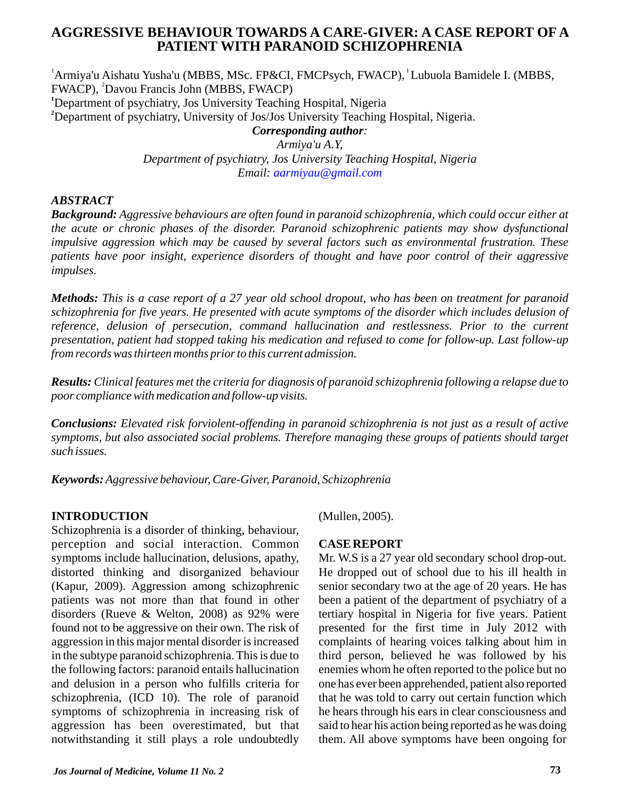# **AGGRESSIVE BEHAVIOUR TOWARDS A CARE-GIVER: A CASE REPORT OF A PATIENT WITH PARANOID SCHIZOPHRENIA**

<sup>1</sup> Armiya'u Aishatu Yusha'u (MBBS, MSc. FP&CI, FMCPsych, FWACP), <sup>1</sup> Lubuola Bamidele I. (MBBS, FWACP), <sup>2</sup>Davou Francis John (MBBS, FWACP) **<sup>1</sup>**Department of psychiatry, Jos University Teaching Hospital, Nigeria **<sup>2</sup>**Department of psychiatry, University of Jos/Jos University Teaching Hospital, Nigeria. *Corresponding author: Armiya'u A.Y, Department of psychiatry, Jos University Teaching Hospital, Nigeria*

*Email: [aarmiyau@gmail.com](mailto:aarmiyau@gmail.com)*

## *ABSTRACT*

*Background: Aggressive behaviours are often found in paranoid schizophrenia, which could occur either at the acute or chronic phases of the disorder. Paranoid schizophrenic patients may show dysfunctional impulsive aggression which may be caused by several factors such as environmental frustration. These patients have poor insight, experience disorders of thought and have poor control of their aggressive impulses.*

*Methods: This is a case report of a 27 year old school dropout, who has been on treatment for paranoid schizophrenia for five years. He presented with acute symptoms of the disorder which includes delusion of*  reference, delusion of persecution, command hallucination and restlessness. Prior to the current *presentation, patient had stopped taking his medication and refused to come for follow-up. Last follow-up from records was thirteen months prior to this current admission.* 

*Results: Clinical features met the criteria for diagnosis of paranoid schizophrenia following a relapse due to poor compliance with medication and follow-up visits.* 

*Conclusions: Elevated risk forviolent-offending in paranoid schizophrenia is not just as a result of active symptoms, but also associated social problems. Therefore managing these groups of patients should target such issues.*

*Keywords: Aggressive behaviour, Care-Giver, Paranoid, Schizophrenia*

## **INTRODUCTION**

Schizophrenia is a disorder of thinking, behaviour, perception and social interaction. Common symptoms include hallucination, delusions, apathy, distorted thinking and disorganized behaviour (Kapur, 2009). Aggression among schizophrenic patients was not more than that found in other disorders (Rueve & Welton, 2008) as 92% were found not to be aggressive on their own. The risk of aggression in this major mental disorder is increased in the subtype paranoid schizophrenia. This is due to the following factors: paranoid entails hallucination and delusion in a person who fulfills criteria for schizophrenia, (ICD 10). The role of paranoid symptoms of schizophrenia in increasing risk of aggression has been overestimated, but that notwithstanding it still plays a role undoubtedly

(Mullen, 2005).

### **CASE REPORT**

Mr. W.S is a 27 year old secondary school drop-out. He dropped out of school due to his ill health in senior secondary two at the age of 20 years. He has been a patient of the department of psychiatry of a tertiary hospital in Nigeria for five years. Patient presented for the first time in July 2012 with complaints of hearing voices talking about him in third person, believed he was followed by his enemies whom he often reported to the police but no one has ever been apprehended, patient also reported that he was told to carry out certain function which he hears through his ears in clear consciousness and said to hear his action being reported as he was doing them. All above symptoms have been ongoing for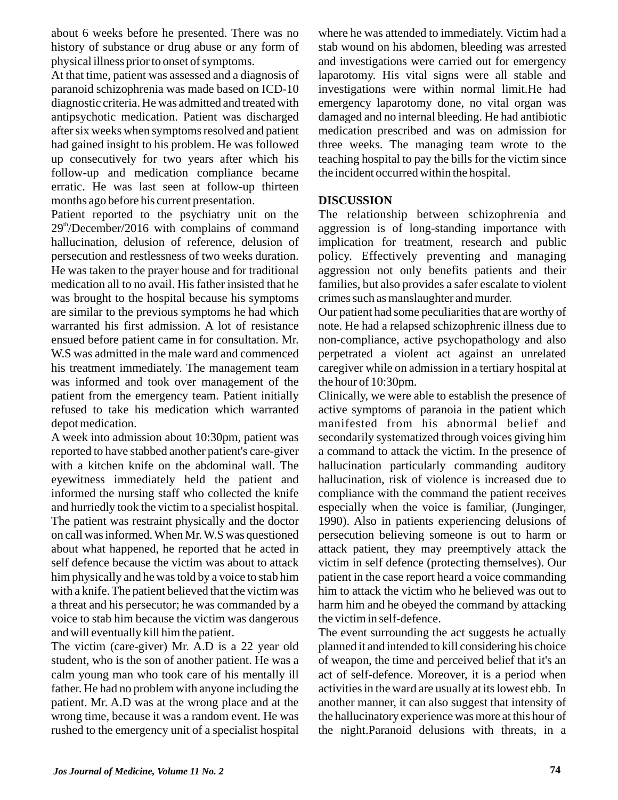about 6 weeks before he presented. There was no history of substance or drug abuse or any form of physical illness prior to onset of symptoms.

At that time, patient was assessed and a diagnosis of paranoid schizophrenia was made based on ICD-10 diagnostic criteria. He was admitted and treated with antipsychotic medication. Patient was discharged after six weeks when symptoms resolved and patient had gained insight to his problem. He was followed up consecutively for two years after which his follow-up and medication compliance became erratic. He was last seen at follow-up thirteen months ago before his current presentation.

Patient reported to the psychiatry unit on the  $29<sup>th</sup>/December/2016$  with complains of command hallucination, delusion of reference, delusion of persecution and restlessness of two weeks duration. He was taken to the prayer house and for traditional medication all to no avail. His father insisted that he was brought to the hospital because his symptoms are similar to the previous symptoms he had which warranted his first admission. A lot of resistance ensued before patient came in for consultation. Mr. W.S was admitted in the male ward and commenced his treatment immediately. The management team was informed and took over management of the patient from the emergency team. Patient initially refused to take his medication which warranted depot medication.

A week into admission about 10:30pm, patient was reported to have stabbed another patient's care-giver with a kitchen knife on the abdominal wall. The eyewitness immediately held the patient and informed the nursing staff who collected the knife and hurriedly took the victim to a specialist hospital. The patient was restraint physically and the doctor on call was informed. When Mr. W.S was questioned about what happened, he reported that he acted in self defence because the victim was about to attack him physically and he was told by a voice to stab him with a knife. The patient believed that the victim was a threat and his persecutor; he was commanded by a voice to stab him because the victim was dangerous and will eventually kill him the patient.

The victim (care-giver) Mr. A.D is a 22 year old student, who is the son of another patient. He was a calm young man who took care of his mentally ill father. He had no problem with anyone including the patient. Mr. A.D was at the wrong place and at the wrong time, because it was a random event. He was rushed to the emergency unit of a specialist hospital

where he was attended to immediately. Victim had a stab wound on his abdomen, bleeding was arrested and investigations were carried out for emergency laparotomy. His vital signs were all stable and investigations were within normal limit.He had emergency laparotomy done, no vital organ was damaged and no internal bleeding. He had antibiotic medication prescribed and was on admission for three weeks. The managing team wrote to the teaching hospital to pay the bills for the victim since the incident occurred within the hospital.

## **DISCUSSION**

The relationship between schizophrenia and aggression is of long-standing importance with implication for treatment, research and public policy. Effectively preventing and managing aggression not only benefits patients and their families, but also provides a safer escalate to violent crimes such as manslaughter and murder.

Our patient had some peculiarities that are worthy of note. He had a relapsed schizophrenic illness due to non-compliance, active psychopathology and also perpetrated a violent act against an unrelated caregiver while on admission in a tertiary hospital at the hour of 10:30pm.

Clinically, we were able to establish the presence of active symptoms of paranoia in the patient which manifested from his abnormal belief and secondarily systematized through voices giving him a command to attack the victim. In the presence of hallucination particularly commanding auditory hallucination, risk of violence is increased due to compliance with the command the patient receives especially when the voice is familiar, (Junginger, 1990). Also in patients experiencing delusions of persecution believing someone is out to harm or attack patient, they may preemptively attack the victim in self defence (protecting themselves). Our patient in the case report heard a voice commanding him to attack the victim who he believed was out to harm him and he obeyed the command by attacking the victim in self-defence.

The event surrounding the act suggests he actually planned it and intended to kill considering his choice of weapon, the time and perceived belief that it's an act of self-defence. Moreover, it is a period when activities in the ward are usually at its lowest ebb. In another manner, it can also suggest that intensity of the hallucinatory experience was more at this hour of the night.Paranoid delusions with threats, in a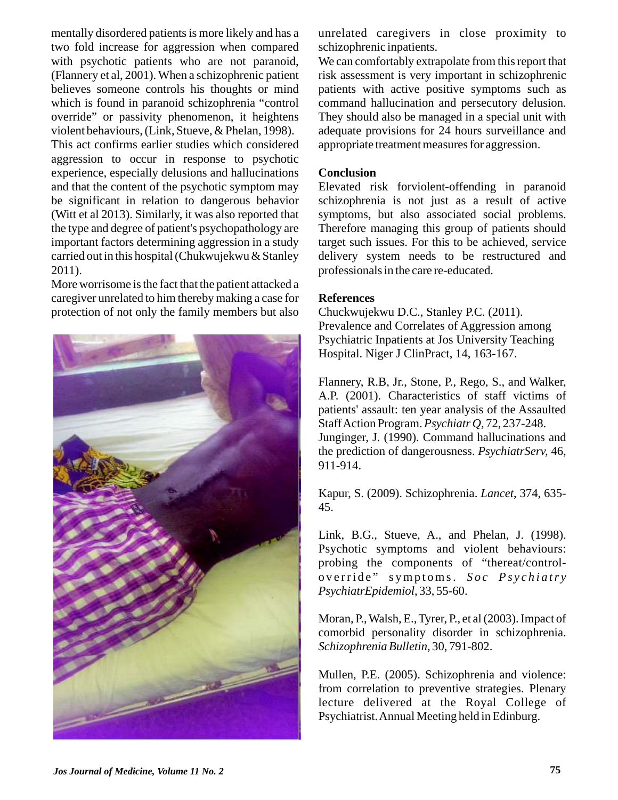mentally disordered patients is more likely and has a two fold increase for aggression when compared with psychotic patients who are not paranoid, (Flannery et al, 2001). When a schizophrenic patient believes someone controls his thoughts or mind which is found in paranoid schizophrenia "control override" or passivity phenomenon, it heightens violent behaviours, (Link, Stueve, & Phelan, 1998). This act confirms earlier studies which considered aggression to occur in response to psychotic experience, especially delusions and hallucinations and that the content of the psychotic symptom may be significant in relation to dangerous behavior (Witt et al 2013). Similarly, it was also reported that the type and degree of patient's psychopathology are important factors determining aggression in a study carried out in this hospital (Chukwujekwu & Stanley 2011).

More worrisome is the fact that the patient attacked a caregiver unrelated to him thereby making a case for protection of not only the family members but also



unrelated caregivers in close proximity to schizophrenic inpatients.

We can comfortably extrapolate from this report that risk assessment is very important in schizophrenic patients with active positive symptoms such as command hallucination and persecutory delusion. They should also be managed in a special unit with adequate provisions for 24 hours surveillance and appropriate treatment measures for aggression.

#### **Conclusion**

Elevated risk forviolent-offending in paranoid schizophrenia is not just as a result of active symptoms, but also associated social problems. Therefore managing this group of patients should target such issues. For this to be achieved, service delivery system needs to be restructured and professionals in the care re-educated.

#### **References**

Chuckwujekwu D.C., Stanley P.C. (2011). Prevalence and Correlates of Aggression among Psychiatric Inpatients at Jos University Teaching Hospital. Niger J ClinPract, 14, 163-167.

Flannery, R.B, Jr., Stone, P., Rego, S., and Walker, A.P. (2001). Characteristics of staff victims of patients' assault: ten year analysis of the Assaulted Staff Action Program. *Psychiatr Q,* 72, 237-248. Junginger, J. (1990). Command hallucinations and the prediction of dangerousness. *PsychiatrServ,* 46, 911-914.

Kapur, S. (2009). Schizophrenia. *Lancet*, 374, 635- 45.

Link, B.G., Stueve, A., and Phelan, J. (1998). Psychotic symptoms and violent behaviours: probing the components of "thereat/controloverride" symptoms. Soc Psychiatry *PsychiatrEpidemiol*, 33, 55-60.

Moran, P., Walsh, E., Tyrer, P., et al (2003). Impact of comorbid personality disorder in schizophrenia. *Schizophrenia Bulletin*, 30, 791-802.

Mullen, P.E. (2005). Schizophrenia and violence: from correlation to preventive strategies. Plenary lecture delivered at the Royal College of Psychiatrist. Annual Meeting held in Edinburg.